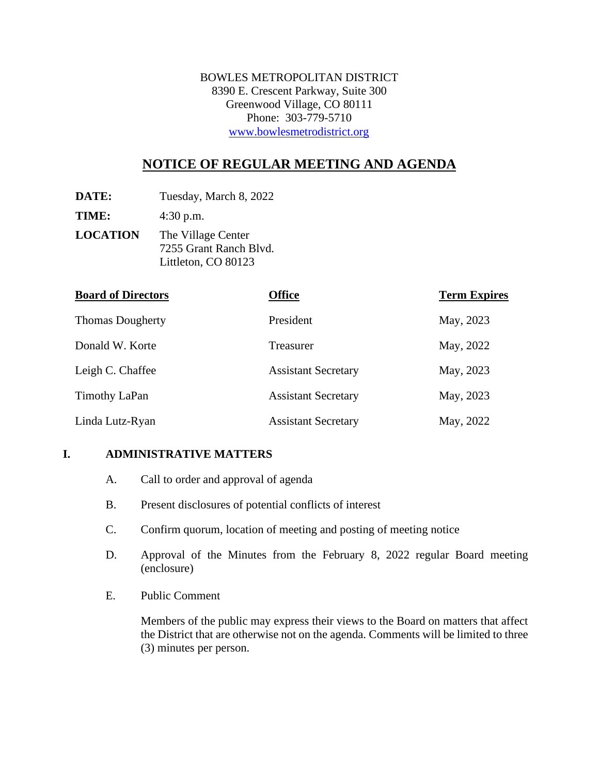BOWLES METROPOLITAN DISTRICT 8390 E. Crescent Parkway, Suite 300 Greenwood Village, CO 80111 Phone: 303-779-5710 [www.bowlesmetrodistrict.org](http://www.bowlesmetrodistrict.org/) 

# **NOTICE OF REGULAR MEETING AND AGENDA**

**DATE:** Tuesday, March 8, 2022

**TIME:** 4:30 p.m.

**LOCATION** The Village Center 7255 Grant Ranch Blvd. Littleton, CO 80123

| <b>Board of Directors</b> | <b>Office</b>              | <b>Term Expires</b> |
|---------------------------|----------------------------|---------------------|
| <b>Thomas Dougherty</b>   | President                  | May, 2023           |
| Donald W. Korte           | Treasurer                  | May, 2022           |
| Leigh C. Chaffee          | <b>Assistant Secretary</b> | May, 2023           |
| Timothy LaPan             | <b>Assistant Secretary</b> | May, 2023           |
| Linda Lutz-Ryan           | <b>Assistant Secretary</b> | May, 2022           |

#### **I. ADMINISTRATIVE MATTERS**

- A. Call to order and approval of agenda
- B. Present disclosures of potential conflicts of interest
- C. Confirm quorum, location of meeting and posting of meeting notice
- D. Approval of the Minutes from the February 8, 2022 regular Board meeting (enclosure)
- E. Public Comment

Members of the public may express their views to the Board on matters that affect the District that are otherwise not on the agenda. Comments will be limited to three (3) minutes per person.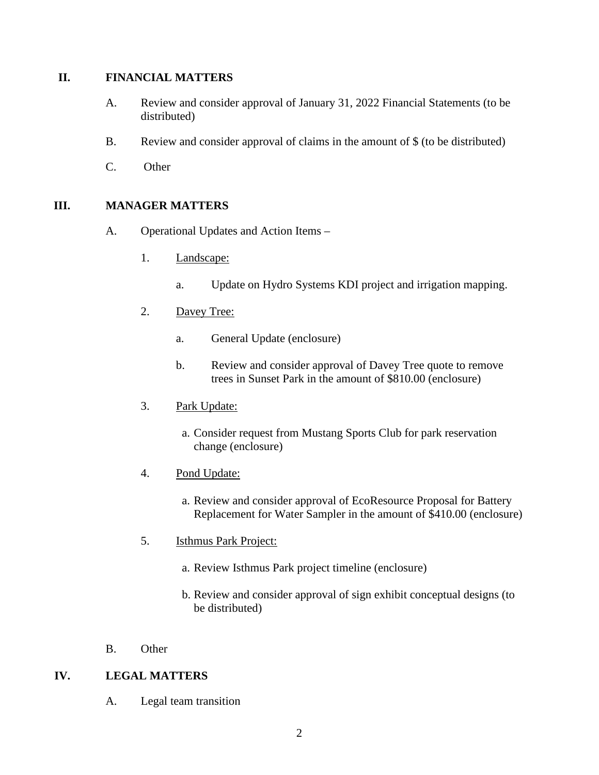#### **II. FINANCIAL MATTERS**

- A. Review and consider approval of January 31, 2022 Financial Statements (to be distributed)
- B. Review and consider approval of claims in the amount of \$ (to be distributed)
- C. Other

## **III. MANAGER MATTERS**

- A. Operational Updates and Action Items
	- 1. Landscape:
		- a. Update on Hydro Systems KDI project and irrigation mapping.
	- 2. Davey Tree:
		- a. General Update (enclosure)
		- b. Review and consider approval of Davey Tree quote to remove trees in Sunset Park in the amount of \$810.00 (enclosure)
	- 3. Park Update:
		- a. Consider request from Mustang Sports Club for park reservation change (enclosure)
	- 4. Pond Update:
		- a. Review and consider approval of EcoResource Proposal for Battery Replacement for Water Sampler in the amount of \$410.00 (enclosure)
	- 5. Isthmus Park Project:
		- a. Review Isthmus Park project timeline (enclosure)
		- b. Review and consider approval of sign exhibit conceptual designs (to be distributed)
- B. Other

## **IV. LEGAL MATTERS**

A. Legal team transition